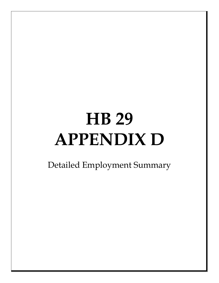## **HB 29 APPENDIX D**

Detailed Employment Summary